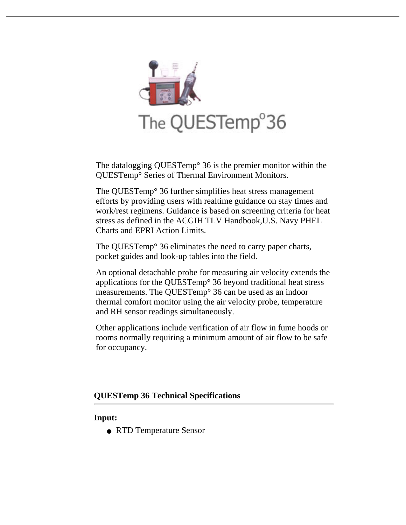

The datalogging QUESTemp° 36 is the premier monitor within the QUESTemp° Series of Thermal Environment Monitors.

The QUESTemp° 36 further simplifies heat stress management efforts by providing users with realtime guidance on stay times and work/rest regimens. Guidance is based on screening criteria for heat stress as defined in the ACGIH TLV Handbook,U.S. Navy PHEL Charts and EPRI Action Limits.

The QUESTemp° 36 eliminates the need to carry paper charts, [pocket g](http://www.quest-technologies.com/Heat/order_fixed_hs.htm)uides and look-up tables into the field.

An optional detachable probe for measuring air velocity extends the [ap](http://www.quest-technologies.com/Support/c_support.htm)plications for the QUESTemp° 36 beyond traditional heat stress measurements. The QUESTemp° 36 can be used as an indoor thermal comfort monitor using the air velocity probe, temperature and RH sensor readings simultaneously.

Other applications include verification of air flow in fume hoods or rooms normally requiring a minimum amount of air flow to be safe for occupancy.

# **QUESTemp 36 Technical Specifications**

#### **Input:**

● RTD [Temperature Sen](http://www.adobe.com/prodindex/acrobat/readstep.html)sor